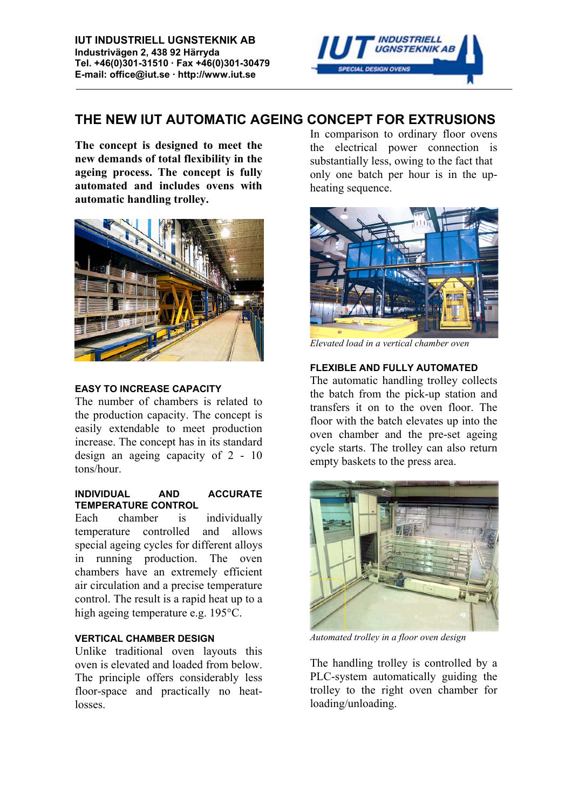

# **THE NEW IUT AUTOMATIC AGEING CONCEPT FOR EXTRUSIONS**

**The concept is designed to meet the new demands of total flexibility in the ageing process. The concept is fully automated and includes ovens with automatic handling trolley.**



#### **EASY TO INCREASE CAPACITY**

The number of chambers is related to the production capacity. The concept is easily extendable to meet production increase. The concept has in its standard design an ageing capacity of 2 - 10 tons/hour.

#### **INDIVIDUAL AND ACCURATE TEMPERATURE CONTROL**

Each chamber is individually temperature controlled and allows special ageing cycles for different alloys in running production. The oven chambers have an extremely efficient air circulation and a precise temperature control. The result is a rapid heat up to a high ageing temperature e.g. 195°C.

## **VERTICAL CHAMBER DESIGN**

Unlike traditional oven layouts this oven is elevated and loaded from below. The principle offers considerably less floor-space and practically no heatlosses.

In comparison to ordinary floor ovens the electrical power connection is substantially less, owing to the fact that only one batch per hour is in the upheating sequence.



*Elevated load in a vertical chamber oven*

## **FLEXIBLE AND FULLY AUTOMATED**

The automatic handling trolley collects the batch from the pick-up station and transfers it on to the oven floor. The floor with the batch elevates up into the oven chamber and the pre-set ageing cycle starts. The trolley can also return empty baskets to the press area.



*Automated trolley in a floor oven design*

The handling trolley is controlled by a PLC-system automatically guiding the trolley to the right oven chamber for loading/unloading.